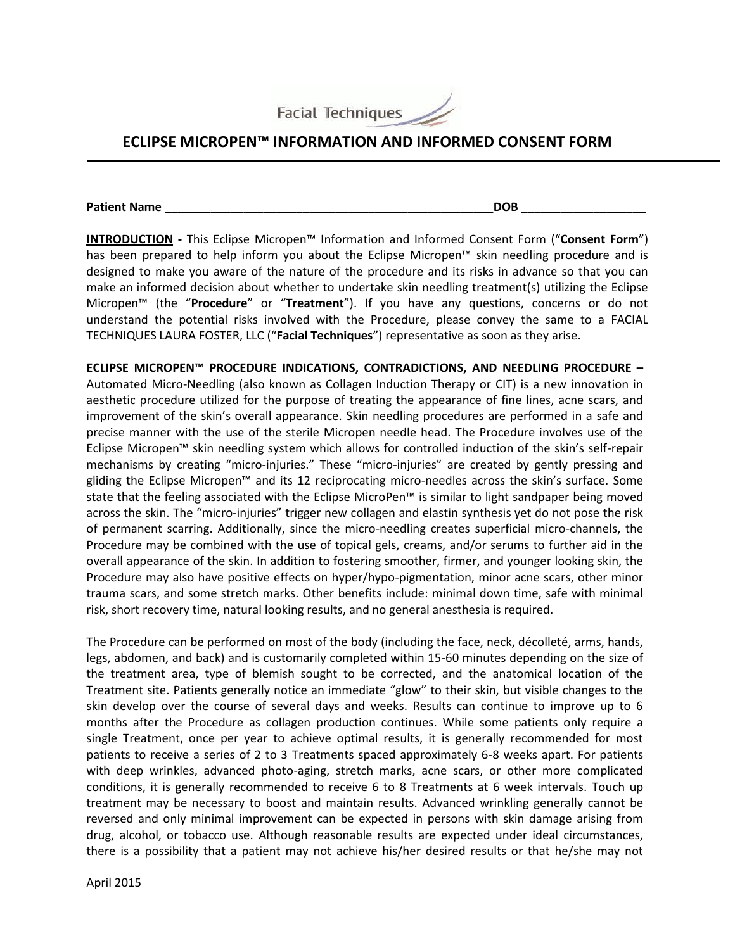

## **ECLIPSE MICROPEN™ INFORMATION AND INFORMED CONSENT FORM**

**Patient Name DOB** 

**INTRODUCTION -** This Eclipse Micropen™ Information and Informed Consent Form ("**Consent Form**") has been prepared to help inform you about the Eclipse Micropen™ skin needling procedure and is designed to make you aware of the nature of the procedure and its risks in advance so that you can make an informed decision about whether to undertake skin needling treatment(s) utilizing the Eclipse Micropen™ (the "**Procedure**" or "**Treatment**"). If you have any questions, concerns or do not understand the potential risks involved with the Procedure, please convey the same to a FACIAL TECHNIQUES LAURA FOSTER, LLC ("**Facial Techniques**") representative as soon as they arise.

**ECLIPSE MICROPEN™ PROCEDURE INDICATIONS, CONTRADICTIONS, AND NEEDLING PROCEDURE –** Automated Micro-Needling (also known as Collagen Induction Therapy or CIT) is a new innovation in aesthetic procedure utilized for the purpose of treating the appearance of fine lines, acne scars, and improvement of the skin's overall appearance. Skin needling procedures are performed in a safe and precise manner with the use of the sterile Micropen needle head. The Procedure involves use of the Eclipse Micropen™ skin needling system which allows for controlled induction of the skin's self-repair mechanisms by creating "micro-injuries." These "micro-injuries" are created by gently pressing and gliding the Eclipse Micropen™ and its 12 reciprocating micro-needles across the skin's surface. Some state that the feeling associated with the Eclipse MicroPen™ is similar to light sandpaper being moved across the skin. The "micro-injuries" trigger new collagen and elastin synthesis yet do not pose the risk of permanent scarring. Additionally, since the micro-needling creates superficial micro-channels, the Procedure may be combined with the use of topical gels, creams, and/or serums to further aid in the overall appearance of the skin. In addition to fostering smoother, firmer, and younger looking skin, the Procedure may also have positive effects on hyper/hypo-pigmentation, minor acne scars, other minor trauma scars, and some stretch marks. Other benefits include: minimal down time, safe with minimal risk, short recovery time, natural looking results, and no general anesthesia is required.

The Procedure can be performed on most of the body (including the face, neck, décolleté, arms, hands, legs, abdomen, and back) and is customarily completed within 15-60 minutes depending on the size of the treatment area, type of blemish sought to be corrected, and the anatomical location of the Treatment site. Patients generally notice an immediate "glow" to their skin, but visible changes to the skin develop over the course of several days and weeks. Results can continue to improve up to 6 months after the Procedure as collagen production continues. While some patients only require a single Treatment, once per year to achieve optimal results, it is generally recommended for most patients to receive a series of 2 to 3 Treatments spaced approximately 6-8 weeks apart. For patients with deep wrinkles, advanced photo-aging, stretch marks, acne scars, or other more complicated conditions, it is generally recommended to receive 6 to 8 Treatments at 6 week intervals. Touch up treatment may be necessary to boost and maintain results. Advanced wrinkling generally cannot be reversed and only minimal improvement can be expected in persons with skin damage arising from drug, alcohol, or tobacco use. Although reasonable results are expected under ideal circumstances, there is a possibility that a patient may not achieve his/her desired results or that he/she may not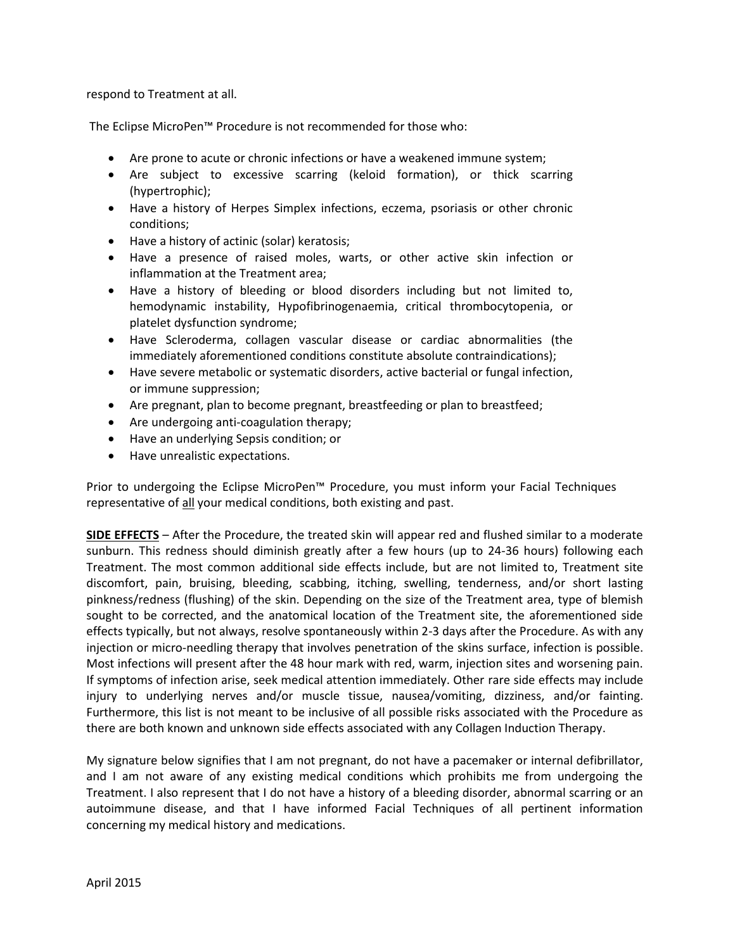respond to Treatment at all.

The Eclipse MicroPen™ Procedure is not recommended for those who:

- Are prone to acute or chronic infections or have a weakened immune system;
- Are subject to excessive scarring (keloid formation), or thick scarring (hypertrophic);
- Have a history of Herpes Simplex infections, eczema, psoriasis or other chronic conditions;
- Have a history of actinic (solar) keratosis;
- Have a presence of raised moles, warts, or other active skin infection or inflammation at the Treatment area;
- Have a history of bleeding or blood disorders including but not limited to, hemodynamic instability, Hypofibrinogenaemia, critical thrombocytopenia, or platelet dysfunction syndrome;
- Have Scleroderma, collagen vascular disease or cardiac abnormalities (the immediately aforementioned conditions constitute absolute contraindications);
- Have severe metabolic or systematic disorders, active bacterial or fungal infection, or immune suppression;
- Are pregnant, plan to become pregnant, breastfeeding or plan to breastfeed;
- Are undergoing anti-coagulation therapy;
- Have an underlying Sepsis condition; or
- Have unrealistic expectations.

Prior to undergoing the Eclipse MicroPen™ Procedure, you must inform your Facial Techniques representative of all your medical conditions, both existing and past.

**SIDE EFFECTS** – After the Procedure, the treated skin will appear red and flushed similar to a moderate sunburn. This redness should diminish greatly after a few hours (up to 24-36 hours) following each Treatment. The most common additional side effects include, but are not limited to, Treatment site discomfort, pain, bruising, bleeding, scabbing, itching, swelling, tenderness, and/or short lasting pinkness/redness (flushing) of the skin. Depending on the size of the Treatment area, type of blemish sought to be corrected, and the anatomical location of the Treatment site, the aforementioned side effects typically, but not always, resolve spontaneously within 2-3 days after the Procedure. As with any injection or micro-needling therapy that involves penetration of the skins surface, infection is possible. Most infections will present after the 48 hour mark with red, warm, injection sites and worsening pain. If symptoms of infection arise, seek medical attention immediately. Other rare side effects may include injury to underlying nerves and/or muscle tissue, nausea/vomiting, dizziness, and/or fainting. Furthermore, this list is not meant to be inclusive of all possible risks associated with the Procedure as there are both known and unknown side effects associated with any Collagen Induction Therapy.

My signature below signifies that I am not pregnant, do not have a pacemaker or internal defibrillator, and I am not aware of any existing medical conditions which prohibits me from undergoing the Treatment. I also represent that I do not have a history of a bleeding disorder, abnormal scarring or an autoimmune disease, and that I have informed Facial Techniques of all pertinent information concerning my medical history and medications.